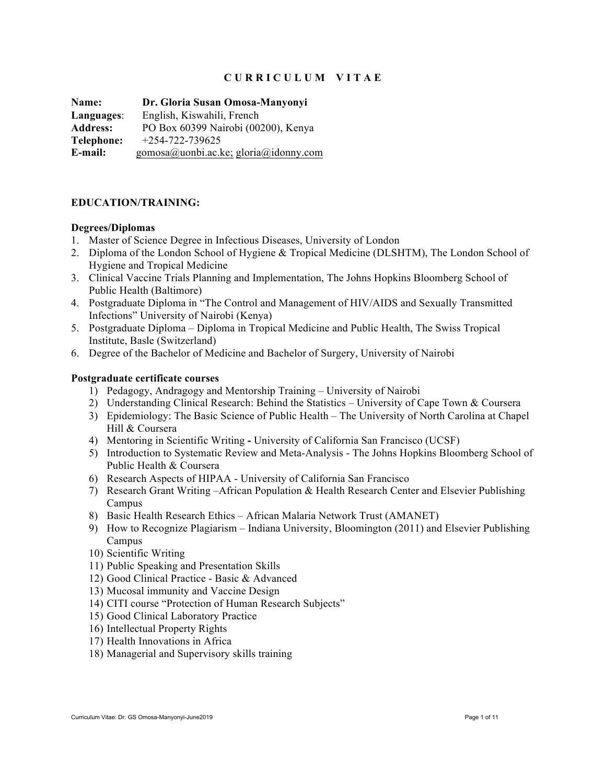# **C U R R I C U L U M V I T A E**

**Name: Dr. Gloria Susan Omosa-Manyonyi Languages**: English, Kiswahili, French **Address:** PO Box 60399 Nairobi (00200), Kenya **Telephone:** +254-722-739625 **E-mail:** gomosa@uonbi.ac.ke; gloria@idonny.com

### **EDUCATION/TRAINING:**

#### **Degrees/Diplomas**

- 1. Master of Science Degree in Infectious Diseases, University of London
- 2. Diploma of the London School of Hygiene & Tropical Medicine (DLSHTM), The London School of Hygiene and Tropical Medicine
- 3. Clinical Vaccine Trials Planning and Implementation, The Johns Hopkins Bloomberg School of Public Health (Baltimore)
- 4. Postgraduate Diploma in "The Control and Management of HIV/AIDS and Sexually Transmitted Infections" University of Nairobi (Kenya)
- 5. Postgraduate Diploma Diploma in Tropical Medicine and Public Health, The Swiss Tropical Institute, Basle (Switzerland)
- 6. Degree of the Bachelor of Medicine and Bachelor of Surgery, University of Nairobi

#### **Postgraduate certificate courses**

- 1) Pedagogy, Andragogy and Mentorship Training University of Nairobi
- 2) Understanding Clinical Research: Behind the Statistics University of Cape Town & Coursera
- 3) Epidemiology: The Basic Science of Public Health The University of North Carolina at Chapel Hill & Coursera
- 4) Mentoring in Scientific Writing **-** University of California San Francisco (UCSF)
- 5) Introduction to Systematic Review and Meta-Analysis The Johns Hopkins Bloomberg School of Public Health & Coursera
- 6) Research Aspects of HIPAA University of California San Francisco
- 7) Research Grant Writing –African Population & Health Research Center and Elsevier Publishing Campus
- 8) Basic Health Research Ethics African Malaria Network Trust (AMANET)
- 9) How to Recognize Plagiarism Indiana University, Bloomington (2011) and Elsevier Publishing Campus
- 10) Scientific Writing
- 11) Public Speaking and Presentation Skills
- 12) Good Clinical Practice Basic & Advanced
- 13) Mucosal immunity and Vaccine Design
- 14) CITI course "Protection of Human Research Subjects"
- 15) Good Clinical Laboratory Practice
- 16) Intellectual Property Rights
- 17) Health Innovations in Africa
- 18) Managerial and Supervisory skills training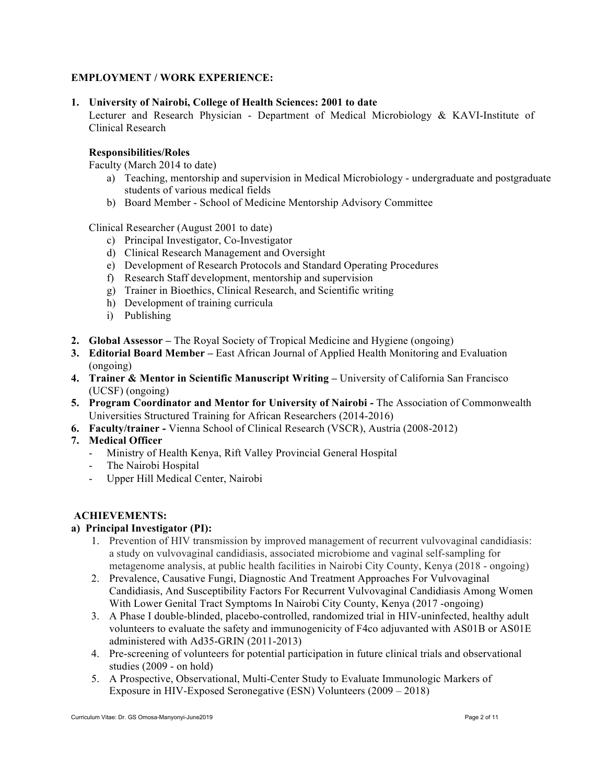# **EMPLOYMENT / WORK EXPERIENCE:**

## **1. University of Nairobi, College of Health Sciences: 2001 to date**

Lecturer and Research Physician - Department of Medical Microbiology & KAVI-Institute of Clinical Research

### **Responsibilities/Roles**

Faculty (March 2014 to date)

- a) Teaching, mentorship and supervision in Medical Microbiology undergraduate and postgraduate students of various medical fields
- b) Board Member School of Medicine Mentorship Advisory Committee

Clinical Researcher (August 2001 to date)

- c) Principal Investigator, Co-Investigator
- d) Clinical Research Management and Oversight
- e) Development of Research Protocols and Standard Operating Procedures
- f) Research Staff development, mentorship and supervision
- g) Trainer in Bioethics, Clinical Research, and Scientific writing
- h) Development of training curricula
- i) Publishing
- **2. Global Assessor –** The Royal Society of Tropical Medicine and Hygiene (ongoing)
- **3. Editorial Board Member –** East African Journal of Applied Health Monitoring and Evaluation (ongoing)
- **4. Trainer & Mentor in Scientific Manuscript Writing –** University of California San Francisco (UCSF) (ongoing)
- **5. Program Coordinator and Mentor for University of Nairobi -** The Association of Commonwealth Universities Structured Training for African Researchers (2014-2016)
- **6. Faculty/trainer -** Vienna School of Clinical Research (VSCR), Austria (2008-2012)
- **7. Medical Officer**
	- Ministry of Health Kenya, Rift Valley Provincial General Hospital
	- The Nairobi Hospital
	- Upper Hill Medical Center, Nairobi

#### **ACHIEVEMENTS:**

# **a) Principal Investigator (PI):**

- 1. Prevention of HIV transmission by improved management of recurrent vulvovaginal candidiasis: a study on vulvovaginal candidiasis, associated microbiome and vaginal self-sampling for metagenome analysis, at public health facilities in Nairobi City County, Kenya (2018 - ongoing)
- 2. Prevalence, Causative Fungi, Diagnostic And Treatment Approaches For Vulvovaginal Candidiasis, And Susceptibility Factors For Recurrent Vulvovaginal Candidiasis Among Women With Lower Genital Tract Symptoms In Nairobi City County, Kenya (2017 -ongoing)
- 3. A Phase I double-blinded, placebo-controlled, randomized trial in HIV-uninfected, healthy adult volunteers to evaluate the safety and immunogenicity of F4co adjuvanted with AS01B or AS01E administered with Ad35-GRIN (2011-2013)
- 4. Pre-screening of volunteers for potential participation in future clinical trials and observational studies (2009 - on hold)
- 5. A Prospective, Observational, Multi-Center Study to Evaluate Immunologic Markers of Exposure in HIV-Exposed Seronegative (ESN) Volunteers (2009 – 2018)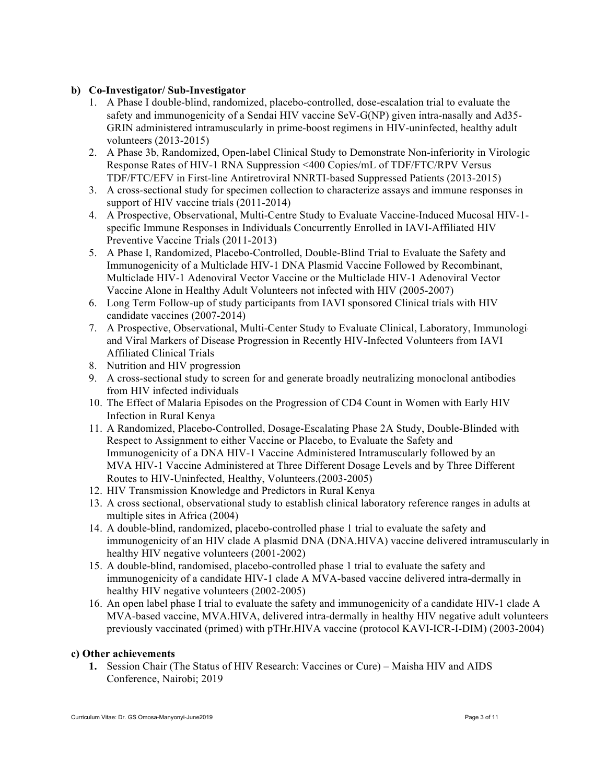## **b) Co-Investigator/ Sub-Investigator**

- 1. A Phase I double-blind, randomized, placebo-controlled, dose-escalation trial to evaluate the safety and immunogenicity of a Sendai HIV vaccine SeV-G(NP) given intra-nasally and Ad35- GRIN administered intramuscularly in prime-boost regimens in HIV-uninfected, healthy adult volunteers (2013-2015)
- 2. A Phase 3b, Randomized, Open-label Clinical Study to Demonstrate Non-inferiority in Virologic Response Rates of HIV-1 RNA Suppression <400 Copies/mL of TDF/FTC/RPV Versus TDF/FTC/EFV in First-line Antiretroviral NNRTI-based Suppressed Patients (2013-2015)
- 3. A cross-sectional study for specimen collection to characterize assays and immune responses in support of HIV vaccine trials (2011-2014)
- 4. A Prospective, Observational, Multi-Centre Study to Evaluate Vaccine-Induced Mucosal HIV-1 specific Immune Responses in Individuals Concurrently Enrolled in IAVI-Affiliated HIV Preventive Vaccine Trials (2011-2013)
- 5. A Phase I, Randomized, Placebo-Controlled, Double-Blind Trial to Evaluate the Safety and Immunogenicity of a Multiclade HIV-1 DNA Plasmid Vaccine Followed by Recombinant, Multiclade HIV-1 Adenoviral Vector Vaccine or the Multiclade HIV-1 Adenoviral Vector Vaccine Alone in Healthy Adult Volunteers not infected with HIV (2005-2007)
- 6. Long Term Follow-up of study participants from IAVI sponsored Clinical trials with HIV candidate vaccines (2007-2014)
- 7. A Prospective, Observational, Multi-Center Study to Evaluate Clinical, Laboratory, Immunologic and Viral Markers of Disease Progression in Recently HIV-Infected Volunteers from IAVI Affiliated Clinical Trials
- 8. Nutrition and HIV progression
- 9. A cross-sectional study to screen for and generate broadly neutralizing monoclonal antibodies from HIV infected individuals
- 10. The Effect of Malaria Episodes on the Progression of CD4 Count in Women with Early HIV Infection in Rural Kenya
- 11. A Randomized, Placebo-Controlled, Dosage-Escalating Phase 2A Study, Double-Blinded with Respect to Assignment to either Vaccine or Placebo, to Evaluate the Safety and Immunogenicity of a DNA HIV-1 Vaccine Administered Intramuscularly followed by an MVA HIV-1 Vaccine Administered at Three Different Dosage Levels and by Three Different Routes to HIV-Uninfected, Healthy, Volunteers.(2003-2005)
- 12. HIV Transmission Knowledge and Predictors in Rural Kenya
- 13. A cross sectional, observational study to establish clinical laboratory reference ranges in adults at multiple sites in Africa (2004)
- 14. A double-blind, randomized, placebo-controlled phase 1 trial to evaluate the safety and immunogenicity of an HIV clade A plasmid DNA (DNA.HIVA) vaccine delivered intramuscularly in healthy HIV negative volunteers (2001-2002)
- 15. A double-blind, randomised, placebo-controlled phase 1 trial to evaluate the safety and immunogenicity of a candidate HIV-1 clade A MVA-based vaccine delivered intra-dermally in healthy HIV negative volunteers (2002-2005)
- 16. An open label phase I trial to evaluate the safety and immunogenicity of a candidate HIV-1 clade A MVA-based vaccine, MVA.HIVA, delivered intra-dermally in healthy HIV negative adult volunteers previously vaccinated (primed) with pTHr.HIVA vaccine (protocol KAVI-ICR-I-DIM) (2003-2004)

## **c) Other achievements**

**1.** Session Chair (The Status of HIV Research: Vaccines or Cure) – Maisha HIV and AIDS Conference, Nairobi; 2019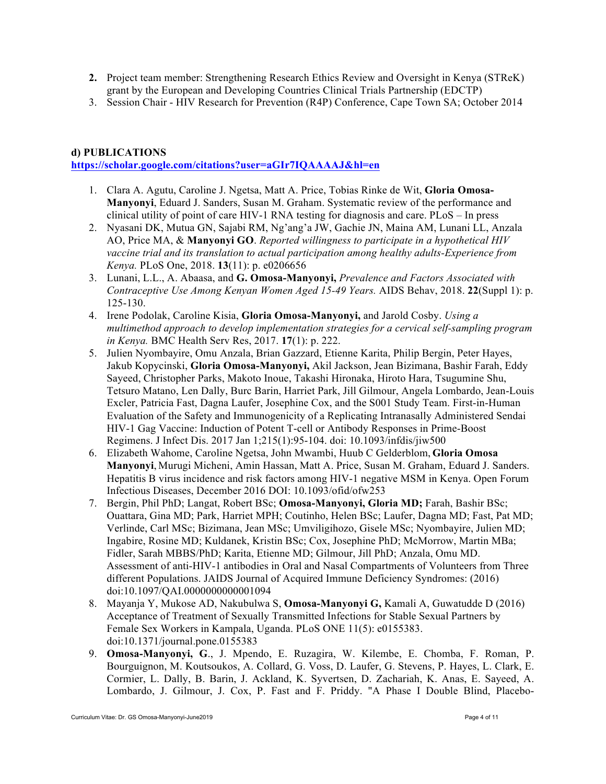- **2.** Project team member: Strengthening Research Ethics Review and Oversight in Kenya (STReK) grant by the European and Developing Countries Clinical Trials Partnership (EDCTP)
- 3. Session Chair HIV Research for Prevention (R4P) Conference, Cape Town SA; October 2014

## **d) PUBLICATIONS**

**https://scholar.google.com/citations?user=aGIr7IQAAAAJ&hl=en**

- 1. Clara A. Agutu, Caroline J. Ngetsa, Matt A. Price, Tobias Rinke de Wit, **Gloria Omosa-Manyonyi**, Eduard J. Sanders, Susan M. Graham. Systematic review of the performance and clinical utility of point of care HIV-1 RNA testing for diagnosis and care. PLoS – In press
- 2. Nyasani DK, Mutua GN, Sajabi RM, Ng'ang'a JW, Gachie JN, Maina AM, Lunani LL, Anzala AO, Price MA, & **Manyonyi GO**. *Reported willingness to participate in a hypothetical HIV vaccine trial and its translation to actual participation among healthy adults-Experience from Kenya.* PLoS One, 2018. **13**(11): p. e0206656
- 3. Lunani, L.L., A. Abaasa, and **G. Omosa-Manyonyi,** *Prevalence and Factors Associated with Contraceptive Use Among Kenyan Women Aged 15-49 Years.* AIDS Behav, 2018. **22**(Suppl 1): p. 125-130.
- 4. Irene Podolak, Caroline Kisia, **Gloria Omosa-Manyonyi,** and Jarold Cosby. *Using a multimethod approach to develop implementation strategies for a cervical self-sampling program in Kenya.* BMC Health Serv Res, 2017. **17**(1): p. 222.
- 5. Julien Nyombayire, Omu Anzala, Brian Gazzard, Etienne Karita, Philip Bergin, Peter Hayes, Jakub Kopycinski, **Gloria Omosa-Manyonyi,** Akil Jackson, Jean Bizimana, Bashir Farah, Eddy Sayeed, Christopher Parks, Makoto Inoue, Takashi Hironaka, Hiroto Hara, Tsugumine Shu, Tetsuro Matano, Len Dally, Burc Barin, Harriet Park, Jill Gilmour, Angela Lombardo, Jean-Louis Excler, Patricia Fast, Dagna Laufer, Josephine Cox, and the S001 Study Team. First-in-Human Evaluation of the Safety and Immunogenicity of a Replicating Intranasally Administered Sendai HIV-1 Gag Vaccine: Induction of Potent T-cell or Antibody Responses in Prime-Boost Regimens. J Infect Dis. 2017 Jan 1;215(1):95-104. doi: 10.1093/infdis/jiw500
- 6. Elizabeth Wahome, Caroline Ngetsa, John Mwambi, Huub C Gelderblom, **Gloria Omosa Manyonyi**, Murugi Micheni, Amin Hassan, Matt A. Price, Susan M. Graham, Eduard J. Sanders. Hepatitis B virus incidence and risk factors among HIV-1 negative MSM in Kenya. Open Forum Infectious Diseases, December 2016 DOI: 10.1093/ofid/ofw253
- 7. Bergin, Phil PhD; Langat, Robert BSc; **Omosa-Manyonyi, Gloria MD;** Farah, Bashir BSc; Ouattara, Gina MD; Park, Harriet MPH; Coutinho, Helen BSc; Laufer, Dagna MD; Fast, Pat MD; Verlinde, Carl MSc; Bizimana, Jean MSc; Umviligihozo, Gisele MSc; Nyombayire, Julien MD; Ingabire, Rosine MD; Kuldanek, Kristin BSc; Cox, Josephine PhD; McMorrow, Martin MBa; Fidler, Sarah MBBS/PhD; Karita, Etienne MD; Gilmour, Jill PhD; Anzala, Omu MD. Assessment of anti-HIV-1 antibodies in Oral and Nasal Compartments of Volunteers from Three different Populations. JAIDS Journal of Acquired Immune Deficiency Syndromes: (2016) doi:10.1097/QAI.0000000000001094
- 8. Mayanja Y, Mukose AD, Nakubulwa S, **Omosa-Manyonyi G,** Kamali A, Guwatudde D (2016) Acceptance of Treatment of Sexually Transmitted Infections for Stable Sexual Partners by Female Sex Workers in Kampala, Uganda. PLoS ONE 11(5): e0155383. doi:10.1371/journal.pone.0155383
- 9. **Omosa-Manyonyi, G**., J. Mpendo, E. Ruzagira, W. Kilembe, E. Chomba, F. Roman, P. Bourguignon, M. Koutsoukos, A. Collard, G. Voss, D. Laufer, G. Stevens, P. Hayes, L. Clark, E. Cormier, L. Dally, B. Barin, J. Ackland, K. Syvertsen, D. Zachariah, K. Anas, E. Sayeed, A. Lombardo, J. Gilmour, J. Cox, P. Fast and F. Priddy. "A Phase I Double Blind, Placebo-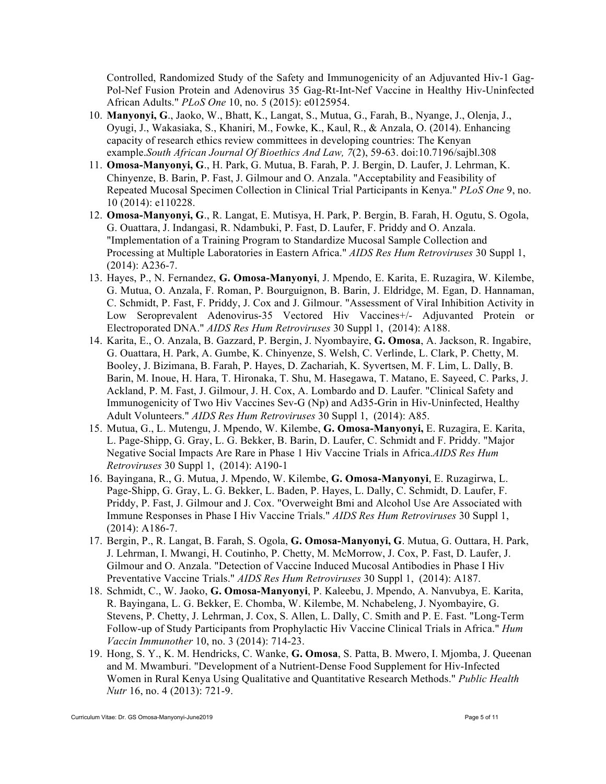Controlled, Randomized Study of the Safety and Immunogenicity of an Adjuvanted Hiv-1 Gag-Pol-Nef Fusion Protein and Adenovirus 35 Gag-Rt-Int-Nef Vaccine in Healthy Hiv-Uninfected African Adults." *PLoS One* 10, no. 5 (2015): e0125954.

- 10. **Manyonyi, G**., Jaoko, W., Bhatt, K., Langat, S., Mutua, G., Farah, B., Nyange, J., Olenja, J., Oyugi, J., Wakasiaka, S., Khaniri, M., Fowke, K., Kaul, R., & Anzala, O. (2014). Enhancing capacity of research ethics review committees in developing countries: The Kenyan example.*South African Journal Of Bioethics And Law, 7*(2), 59-63. doi:10.7196/sajbl.308
- 11. **Omosa-Manyonyi, G**., H. Park, G. Mutua, B. Farah, P. J. Bergin, D. Laufer, J. Lehrman, K. Chinyenze, B. Barin, P. Fast, J. Gilmour and O. Anzala. "Acceptability and Feasibility of Repeated Mucosal Specimen Collection in Clinical Trial Participants in Kenya." *PLoS One* 9, no. 10 (2014): e110228.
- 12. **Omosa-Manyonyi, G**., R. Langat, E. Mutisya, H. Park, P. Bergin, B. Farah, H. Ogutu, S. Ogola, G. Ouattara, J. Indangasi, R. Ndambuki, P. Fast, D. Laufer, F. Priddy and O. Anzala. "Implementation of a Training Program to Standardize Mucosal Sample Collection and Processing at Multiple Laboratories in Eastern Africa." *AIDS Res Hum Retroviruses* 30 Suppl 1, (2014): A236-7.
- 13. Hayes, P., N. Fernandez, **G. Omosa-Manyonyi**, J. Mpendo, E. Karita, E. Ruzagira, W. Kilembe, G. Mutua, O. Anzala, F. Roman, P. Bourguignon, B. Barin, J. Eldridge, M. Egan, D. Hannaman, C. Schmidt, P. Fast, F. Priddy, J. Cox and J. Gilmour. "Assessment of Viral Inhibition Activity in Low Seroprevalent Adenovirus-35 Vectored Hiv Vaccines+/- Adjuvanted Protein or Electroporated DNA." *AIDS Res Hum Retroviruses* 30 Suppl 1, (2014): A188.
- 14. Karita, E., O. Anzala, B. Gazzard, P. Bergin, J. Nyombayire, **G. Omosa**, A. Jackson, R. Ingabire, G. Ouattara, H. Park, A. Gumbe, K. Chinyenze, S. Welsh, C. Verlinde, L. Clark, P. Chetty, M. Booley, J. Bizimana, B. Farah, P. Hayes, D. Zachariah, K. Syvertsen, M. F. Lim, L. Dally, B. Barin, M. Inoue, H. Hara, T. Hironaka, T. Shu, M. Hasegawa, T. Matano, E. Sayeed, C. Parks, J. Ackland, P. M. Fast, J. Gilmour, J. H. Cox, A. Lombardo and D. Laufer. "Clinical Safety and Immunogenicity of Two Hiv Vaccines Sev-G (Np) and Ad35-Grin in Hiv-Uninfected, Healthy Adult Volunteers." *AIDS Res Hum Retroviruses* 30 Suppl 1, (2014): A85.
- 15. Mutua, G., L. Mutengu, J. Mpendo, W. Kilembe, **G. Omosa-Manyonyi,** E. Ruzagira, E. Karita, L. Page-Shipp, G. Gray, L. G. Bekker, B. Barin, D. Laufer, C. Schmidt and F. Priddy. "Major Negative Social Impacts Are Rare in Phase 1 Hiv Vaccine Trials in Africa.*AIDS Res Hum Retroviruses* 30 Suppl 1, (2014): A190-1
- 16. Bayingana, R., G. Mutua, J. Mpendo, W. Kilembe, **G. Omosa-Manyonyi**, E. Ruzagirwa, L. Page-Shipp, G. Gray, L. G. Bekker, L. Baden, P. Hayes, L. Dally, C. Schmidt, D. Laufer, F. Priddy, P. Fast, J. Gilmour and J. Cox. "Overweight Bmi and Alcohol Use Are Associated with Immune Responses in Phase I Hiv Vaccine Trials." *AIDS Res Hum Retroviruses* 30 Suppl 1, (2014): A186-7.
- 17. Bergin, P., R. Langat, B. Farah, S. Ogola, **G. Omosa-Manyonyi, G**. Mutua, G. Outtara, H. Park, J. Lehrman, I. Mwangi, H. Coutinho, P. Chetty, M. McMorrow, J. Cox, P. Fast, D. Laufer, J. Gilmour and O. Anzala. "Detection of Vaccine Induced Mucosal Antibodies in Phase I Hiv Preventative Vaccine Trials." *AIDS Res Hum Retroviruses* 30 Suppl 1, (2014): A187.
- 18. Schmidt, C., W. Jaoko, **G. Omosa-Manyonyi**, P. Kaleebu, J. Mpendo, A. Nanvubya, E. Karita, R. Bayingana, L. G. Bekker, E. Chomba, W. Kilembe, M. Nchabeleng, J. Nyombayire, G. Stevens, P. Chetty, J. Lehrman, J. Cox, S. Allen, L. Dally, C. Smith and P. E. Fast. "Long-Term Follow-up of Study Participants from Prophylactic Hiv Vaccine Clinical Trials in Africa." *Hum Vaccin Immunother* 10, no. 3 (2014): 714-23.
- 19. Hong, S. Y., K. M. Hendricks, C. Wanke, **G. Omosa**, S. Patta, B. Mwero, I. Mjomba, J. Queenan and M. Mwamburi. "Development of a Nutrient-Dense Food Supplement for Hiv-Infected Women in Rural Kenya Using Qualitative and Quantitative Research Methods." *Public Health Nutr* 16, no. 4 (2013): 721-9.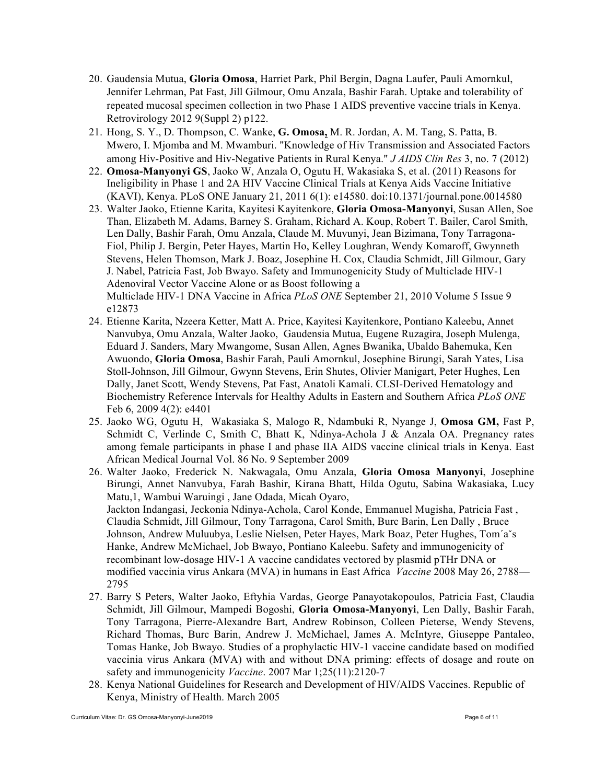- 20. Gaudensia Mutua, **Gloria Omosa**, Harriet Park, Phil Bergin, Dagna Laufer, Pauli Amornkul, Jennifer Lehrman, Pat Fast, Jill Gilmour, Omu Anzala, Bashir Farah. Uptake and tolerability of repeated mucosal specimen collection in two Phase 1 AIDS preventive vaccine trials in Kenya. Retrovirology 2012 9(Suppl 2) p122.
- 21. Hong, S. Y., D. Thompson, C. Wanke, **G. Omosa,** M. R. Jordan, A. M. Tang, S. Patta, B. Mwero, I. Mjomba and M. Mwamburi. "Knowledge of Hiv Transmission and Associated Factors among Hiv-Positive and Hiv-Negative Patients in Rural Kenya." *J AIDS Clin Res* 3, no. 7 (2012)
- 22. **Omosa-Manyonyi GS**, Jaoko W, Anzala O, Ogutu H, Wakasiaka S, et al. (2011) Reasons for Ineligibility in Phase 1 and 2A HIV Vaccine Clinical Trials at Kenya Aids Vaccine Initiative (KAVI), Kenya. PLoS ONE January 21, 2011 6(1): e14580. doi:10.1371/journal.pone.0014580
- 23. Walter Jaoko, Etienne Karita, Kayitesi Kayitenkore, **Gloria Omosa-Manyonyi**, Susan Allen, Soe Than, Elizabeth M. Adams, Barney S. Graham, Richard A. Koup, Robert T. Bailer, Carol Smith, Len Dally, Bashir Farah, Omu Anzala, Claude M. Muvunyi, Jean Bizimana, Tony Tarragona-Fiol, Philip J. Bergin, Peter Hayes, Martin Ho, Kelley Loughran, Wendy Komaroff, Gwynneth Stevens, Helen Thomson, Mark J. Boaz, Josephine H. Cox, Claudia Schmidt, Jill Gilmour, Gary J. Nabel, Patricia Fast, Job Bwayo. Safety and Immunogenicity Study of Multiclade HIV-1 Adenoviral Vector Vaccine Alone or as Boost following a Multiclade HIV-1 DNA Vaccine in Africa *PLoS ONE* September 21, 2010 Volume 5 Issue 9 e12873
- 24. Etienne Karita, Nzeera Ketter, Matt A. Price, Kayitesi Kayitenkore, Pontiano Kaleebu, Annet Nanvubya, Omu Anzala, Walter Jaoko, Gaudensia Mutua, Eugene Ruzagira, Joseph Mulenga, Eduard J. Sanders, Mary Mwangome, Susan Allen, Agnes Bwanika, Ubaldo Bahemuka, Ken Awuondo, **Gloria Omosa**, Bashir Farah, Pauli Amornkul, Josephine Birungi, Sarah Yates, Lisa Stoll-Johnson, Jill Gilmour, Gwynn Stevens, Erin Shutes, Olivier Manigart, Peter Hughes, Len Dally, Janet Scott, Wendy Stevens, Pat Fast, Anatoli Kamali. CLSI-Derived Hematology and Biochemistry Reference Intervals for Healthy Adults in Eastern and Southern Africa *PLoS ONE* Feb 6, 2009 4(2): e4401
- 25. Jaoko WG, Ogutu H, Wakasiaka S, Malogo R, Ndambuki R, Nyange J, **Omosa GM,** Fast P, Schmidt C, Verlinde C, Smith C, Bhatt K, Ndinya-Achola J & Anzala OA. Pregnancy rates among female participants in phase I and phase IIA AIDS vaccine clinical trials in Kenya. East African Medical Journal Vol. 86 No. 9 September 2009
- 26. Walter Jaoko, Frederick N. Nakwagala, Omu Anzala, **Gloria Omosa Manyonyi**, Josephine Birungi, Annet Nanvubya, Farah Bashir, Kirana Bhatt, Hilda Ogutu, Sabina Wakasiaka, Lucy Matu,1, Wambui Waruingi , Jane Odada, Micah Oyaro, Jackton Indangasi, Jeckonia Ndinya-Achola, Carol Konde, Emmanuel Mugisha, Patricia Fast , Claudia Schmidt, Jill Gilmour, Tony Tarragona, Carol Smith, Burc Barin, Len Dally , Bruce Johnson, Andrew Muluubya, Leslie Nielsen, Peter Hayes, Mark Boaz, Peter Hughes, Tom´aˇs Hanke, Andrew McMichael, Job Bwayo, Pontiano Kaleebu. Safety and immunogenicity of recombinant low-dosage HIV-1 A vaccine candidates vectored by plasmid pTHr DNA or modified vaccinia virus Ankara (MVA) in humans in East Africa *Vaccine* 2008 May 26, 2788— 2795
- 27. Barry S Peters, Walter Jaoko, Eftyhia Vardas, George Panayotakopoulos, Patricia Fast, Claudia Schmidt, Jill Gilmour, Mampedi Bogoshi, **Gloria Omosa-Manyonyi**, Len Dally, Bashir Farah, Tony Tarragona, Pierre-Alexandre Bart, Andrew Robinson, Colleen Pieterse, Wendy Stevens, Richard Thomas, Burc Barin, Andrew J. McMichael, James A. McIntyre, Giuseppe Pantaleo, Tomas Hanke, Job Bwayo. Studies of a prophylactic HIV-1 vaccine candidate based on modified vaccinia virus Ankara (MVA) with and without DNA priming: effects of dosage and route on safety and immunogenicity *Vaccine*. 2007 Mar 1;25(11):2120-7
- 28. Kenya National Guidelines for Research and Development of HIV/AIDS Vaccines. Republic of Kenya, Ministry of Health. March 2005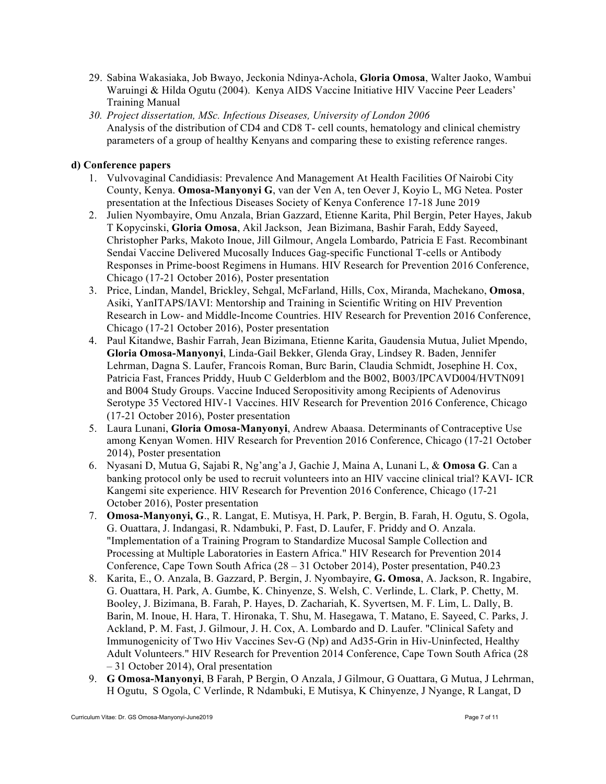- 29. Sabina Wakasiaka, Job Bwayo, Jeckonia Ndinya-Achola, **Gloria Omosa**, Walter Jaoko, Wambui Waruingi & Hilda Ogutu (2004). Kenya AIDS Vaccine Initiative HIV Vaccine Peer Leaders' Training Manual
- *30. Project dissertation, MSc. Infectious Diseases, University of London 2006*  Analysis of the distribution of CD4 and CD8 T- cell counts, hematology and clinical chemistry parameters of a group of healthy Kenyans and comparing these to existing reference ranges.

## **d) Conference papers**

- 1. Vulvovaginal Candidiasis: Prevalence And Management At Health Facilities Of Nairobi City County, Kenya. **Omosa-Manyonyi G**, van der Ven A, ten Oever J, Koyio L, MG Netea. Poster presentation at the Infectious Diseases Society of Kenya Conference 17-18 June 2019
- 2. Julien Nyombayire, Omu Anzala, Brian Gazzard, Etienne Karita, Phil Bergin, Peter Hayes, Jakub T Kopycinski, **Gloria Omosa**, Akil Jackson, Jean Bizimana, Bashir Farah, Eddy Sayeed, Christopher Parks, Makoto Inoue, Jill Gilmour, Angela Lombardo, Patricia E Fast. Recombinant Sendai Vaccine Delivered Mucosally Induces Gag-specific Functional T-cells or Antibody Responses in Prime-boost Regimens in Humans. HIV Research for Prevention 2016 Conference, Chicago (17-21 October 2016), Poster presentation
- 3. Price, Lindan, Mandel, Brickley, Sehgal, McFarland, Hills, Cox, Miranda, Machekano, **Omosa**, Asiki, YanITAPS/IAVI: Mentorship and Training in Scientific Writing on HIV Prevention Research in Low- and Middle-Income Countries. HIV Research for Prevention 2016 Conference, Chicago (17-21 October 2016), Poster presentation
- 4. Paul Kitandwe, Bashir Farrah, Jean Bizimana, Etienne Karita, Gaudensia Mutua, Juliet Mpendo, **Gloria Omosa-Manyonyi**, Linda-Gail Bekker, Glenda Gray, Lindsey R. Baden, Jennifer Lehrman, Dagna S. Laufer, Francois Roman, Burc Barin, Claudia Schmidt, Josephine H. Cox, Patricia Fast, Frances Priddy, Huub C Gelderblom and the B002, B003/IPCAVD004/HVTN091 and B004 Study Groups. Vaccine Induced Seropositivity among Recipients of Adenovirus Serotype 35 Vectored HIV-1 Vaccines. HIV Research for Prevention 2016 Conference, Chicago (17-21 October 2016), Poster presentation
- 5. Laura Lunani, **Gloria Omosa-Manyonyi**, Andrew Abaasa. Determinants of Contraceptive Use among Kenyan Women. HIV Research for Prevention 2016 Conference, Chicago (17-21 October 2014), Poster presentation
- 6. Nyasani D, Mutua G, Sajabi R, Ng'ang'a J, Gachie J, Maina A, Lunani L, & **Omosa G**. Can a banking protocol only be used to recruit volunteers into an HIV vaccine clinical trial? KAVI- ICR Kangemi site experience. HIV Research for Prevention 2016 Conference, Chicago (17-21 October 2016), Poster presentation
- 7. **Omosa-Manyonyi, G**., R. Langat, E. Mutisya, H. Park, P. Bergin, B. Farah, H. Ogutu, S. Ogola, G. Ouattara, J. Indangasi, R. Ndambuki, P. Fast, D. Laufer, F. Priddy and O. Anzala. "Implementation of a Training Program to Standardize Mucosal Sample Collection and Processing at Multiple Laboratories in Eastern Africa." HIV Research for Prevention 2014 Conference, Cape Town South Africa (28 – 31 October 2014), Poster presentation, P40.23
- 8. Karita, E., O. Anzala, B. Gazzard, P. Bergin, J. Nyombayire, **G. Omosa**, A. Jackson, R. Ingabire, G. Ouattara, H. Park, A. Gumbe, K. Chinyenze, S. Welsh, C. Verlinde, L. Clark, P. Chetty, M. Booley, J. Bizimana, B. Farah, P. Hayes, D. Zachariah, K. Syvertsen, M. F. Lim, L. Dally, B. Barin, M. Inoue, H. Hara, T. Hironaka, T. Shu, M. Hasegawa, T. Matano, E. Sayeed, C. Parks, J. Ackland, P. M. Fast, J. Gilmour, J. H. Cox, A. Lombardo and D. Laufer. "Clinical Safety and Immunogenicity of Two Hiv Vaccines Sev-G (Np) and Ad35-Grin in Hiv-Uninfected, Healthy Adult Volunteers." HIV Research for Prevention 2014 Conference, Cape Town South Africa (28 – 31 October 2014), Oral presentation
- 9. **G Omosa-Manyonyi**, B Farah, P Bergin, O Anzala, J Gilmour, G Ouattara, G Mutua, J Lehrman, H Ogutu, S Ogola, C Verlinde, R Ndambuki, E Mutisya, K Chinyenze, J Nyange, R Langat, D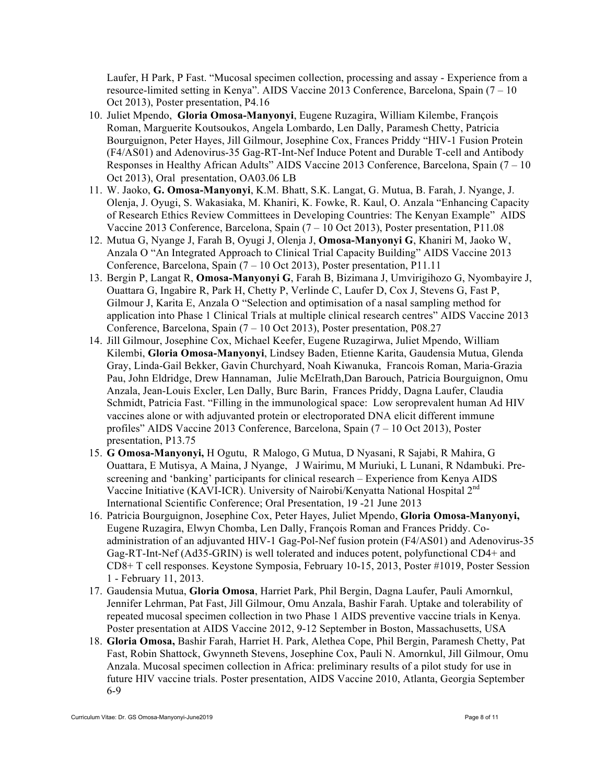Laufer, H Park, P Fast. "Mucosal specimen collection, processing and assay - Experience from a resource-limited setting in Kenya". AIDS Vaccine 2013 Conference, Barcelona, Spain (7 – 10 Oct 2013), Poster presentation, P4.16

- 10. Juliet Mpendo, **Gloria Omosa-Manyonyi**, Eugene Ruzagira, William Kilembe, François Roman, Marguerite Koutsoukos, Angela Lombardo, Len Dally, Paramesh Chetty, Patricia Bourguignon, Peter Hayes, Jill Gilmour, Josephine Cox, Frances Priddy "HIV-1 Fusion Protein (F4/AS01) and Adenovirus-35 Gag-RT-Int-Nef Induce Potent and Durable T-cell and Antibody Responses in Healthy African Adults" AIDS Vaccine 2013 Conference, Barcelona, Spain (7 – 10 Oct 2013), Oral presentation, OA03.06 LB
- 11. W. Jaoko, **G. Omosa-Manyonyi**, K.M. Bhatt, S.K. Langat, G. Mutua, B. Farah, J. Nyange, J. Olenja, J. Oyugi, S. Wakasiaka, M. Khaniri, K. Fowke, R. Kaul, O. Anzala "Enhancing Capacity of Research Ethics Review Committees in Developing Countries: The Kenyan Example" AIDS Vaccine 2013 Conference, Barcelona, Spain  $(7 - 10$  Oct 2013), Poster presentation, P11.08
- 12. Mutua G, Nyange J, Farah B, Oyugi J, Olenja J, **Omosa-Manyonyi G**, Khaniri M, Jaoko W, Anzala O "An Integrated Approach to Clinical Trial Capacity Building" AIDS Vaccine 2013 Conference, Barcelona, Spain (7 – 10 Oct 2013), Poster presentation, P11.11
- 13. Bergin P, Langat R, **Omosa-Manyonyi G**, Farah B, Bizimana J, Umvirigihozo G, Nyombayire J, Ouattara G, Ingabire R, Park H, Chetty P, Verlinde C, Laufer D, Cox J, Stevens G, Fast P, Gilmour J, Karita E, Anzala O "Selection and optimisation of a nasal sampling method for application into Phase 1 Clinical Trials at multiple clinical research centres" AIDS Vaccine 2013 Conference, Barcelona, Spain (7 – 10 Oct 2013), Poster presentation, P08.27
- 14. Jill Gilmour, Josephine Cox, Michael Keefer, Eugene Ruzagirwa, Juliet Mpendo, William Kilembi, **Gloria Omosa-Manyonyi**, Lindsey Baden, Etienne Karita, Gaudensia Mutua, Glenda Gray, Linda-Gail Bekker, Gavin Churchyard, Noah Kiwanuka, Francois Roman, Maria-Grazia Pau, John Eldridge, Drew Hannaman, Julie McElrath,Dan Barouch, Patricia Bourguignon, Omu Anzala, Jean-Louis Excler, Len Dally, Burc Barin, Frances Priddy, Dagna Laufer, Claudia Schmidt, Patricia Fast. "Filling in the immunological space: Low seroprevalent human Ad HIV vaccines alone or with adjuvanted protein or electroporated DNA elicit different immune profiles" AIDS Vaccine 2013 Conference, Barcelona, Spain (7 – 10 Oct 2013), Poster presentation, P13.75
- 15. **G Omosa-Manyonyi,** H Ogutu, R Malogo, G Mutua, D Nyasani, R Sajabi, R Mahira, G Ouattara, E Mutisya, A Maina, J Nyange, J Wairimu, M Muriuki, L Lunani, R Ndambuki. Prescreening and 'banking' participants for clinical research – Experience from Kenya AIDS Vaccine Initiative (KAVI-ICR). University of Nairobi/Kenyatta National Hospital 2nd International Scientific Conference; Oral Presentation, 19 -21 June 2013
- 16. Patricia Bourguignon, Josephine Cox, Peter Hayes, Juliet Mpendo, **Gloria Omosa-Manyonyi,** Eugene Ruzagira, Elwyn Chomba, Len Dally, François Roman and Frances Priddy. Coadministration of an adjuvanted HIV-1 Gag-Pol-Nef fusion protein (F4/AS01) and Adenovirus-35 Gag-RT-Int-Nef (Ad35-GRIN) is well tolerated and induces potent, polyfunctional CD4+ and CD8+ T cell responses. Keystone Symposia, February 10-15, 2013, Poster #1019, Poster Session 1 - February 11, 2013.
- 17. Gaudensia Mutua, **Gloria Omosa**, Harriet Park, Phil Bergin, Dagna Laufer, Pauli Amornkul, Jennifer Lehrman, Pat Fast, Jill Gilmour, Omu Anzala, Bashir Farah. Uptake and tolerability of repeated mucosal specimen collection in two Phase 1 AIDS preventive vaccine trials in Kenya. Poster presentation at AIDS Vaccine 2012, 9-12 September in Boston, Massachusetts, USA
- 18. **Gloria Omosa,** Bashir Farah, Harriet H. Park, Alethea Cope, Phil Bergin, Paramesh Chetty, Pat Fast, Robin Shattock, Gwynneth Stevens, Josephine Cox, Pauli N. Amornkul, Jill Gilmour, Omu Anzala. Mucosal specimen collection in Africa: preliminary results of a pilot study for use in future HIV vaccine trials. Poster presentation, AIDS Vaccine 2010, Atlanta, Georgia September 6-9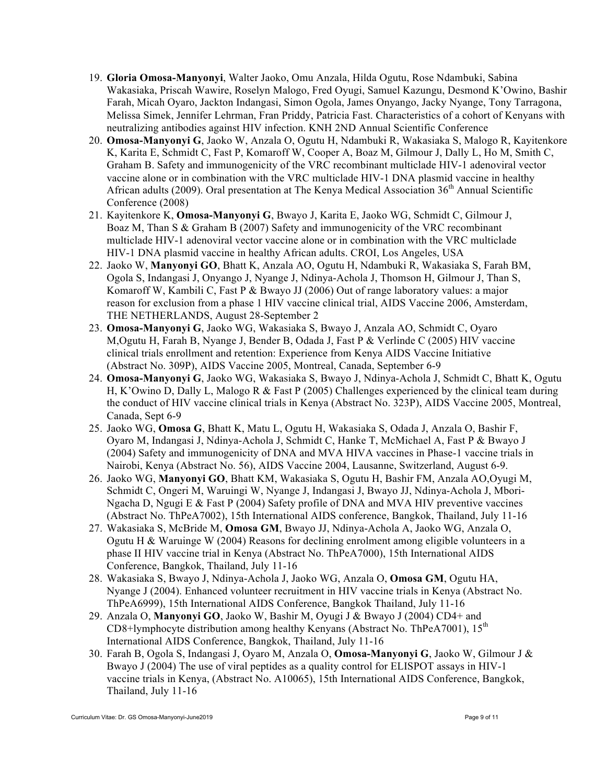- 19. **Gloria Omosa-Manyonyi**, Walter Jaoko, Omu Anzala, Hilda Ogutu, Rose Ndambuki, Sabina Wakasiaka, Priscah Wawire, Roselyn Malogo, Fred Oyugi, Samuel Kazungu, Desmond K'Owino, Bashir Farah, Micah Oyaro, Jackton Indangasi, Simon Ogola, James Onyango, Jacky Nyange, Tony Tarragona, Melissa Simek, Jennifer Lehrman, Fran Priddy, Patricia Fast. Characteristics of a cohort of Kenyans with neutralizing antibodies against HIV infection. KNH 2ND Annual Scientific Conference
- 20. **Omosa-Manyonyi G**, Jaoko W, Anzala O, Ogutu H, Ndambuki R, Wakasiaka S, Malogo R, Kayitenkore K, Karita E, Schmidt C, Fast P, Komaroff W, Cooper A, Boaz M, Gilmour J, Dally L, Ho M, Smith C, Graham B. Safety and immunogenicity of the VRC recombinant multiclade HIV-1 adenoviral vector vaccine alone or in combination with the VRC multiclade HIV-1 DNA plasmid vaccine in healthy African adults (2009). Oral presentation at The Kenya Medical Association  $36<sup>th</sup>$  Annual Scientific Conference (2008)
- 21. Kayitenkore K, **Omosa-Manyonyi G**, Bwayo J, Karita E, Jaoko WG, Schmidt C, Gilmour J, Boaz M, Than S & Graham B (2007) Safety and immunogenicity of the VRC recombinant multiclade HIV-1 adenoviral vector vaccine alone or in combination with the VRC multiclade HIV-1 DNA plasmid vaccine in healthy African adults. CROI, Los Angeles, USA
- 22. Jaoko W, **Manyonyi GO**, Bhatt K, Anzala AO, Ogutu H, Ndambuki R, Wakasiaka S, Farah BM, Ogola S, Indangasi J, Onyango J, Nyange J, Ndinya-Achola J, Thomson H, Gilmour J, Than S, Komaroff W, Kambili C, Fast P & Bwayo JJ (2006) Out of range laboratory values: a major reason for exclusion from a phase 1 HIV vaccine clinical trial, AIDS Vaccine 2006, Amsterdam, THE NETHERLANDS, August 28-September 2
- 23. **Omosa-Manyonyi G**, Jaoko WG, Wakasiaka S, Bwayo J, Anzala AO, Schmidt C, Oyaro M,Ogutu H, Farah B, Nyange J, Bender B, Odada J, Fast P & Verlinde C (2005) HIV vaccine clinical trials enrollment and retention: Experience from Kenya AIDS Vaccine Initiative (Abstract No. 309P), AIDS Vaccine 2005, Montreal, Canada, September 6-9
- 24. **Omosa-Manyonyi G**, Jaoko WG, Wakasiaka S, Bwayo J, Ndinya-Achola J, Schmidt C, Bhatt K, Ogutu H, K'Owino D, Dally L, Malogo R & Fast P (2005) Challenges experienced by the clinical team during the conduct of HIV vaccine clinical trials in Kenya (Abstract No. 323P), AIDS Vaccine 2005, Montreal, Canada, Sept 6-9
- 25. Jaoko WG, **Omosa G**, Bhatt K, Matu L, Ogutu H, Wakasiaka S, Odada J, Anzala O, Bashir F, Oyaro M, Indangasi J, Ndinya-Achola J, Schmidt C, Hanke T, McMichael A, Fast P & Bwayo J (2004) Safety and immunogenicity of DNA and MVA HIVA vaccines in Phase-1 vaccine trials in Nairobi, Kenya (Abstract No. 56), AIDS Vaccine 2004, Lausanne, Switzerland, August 6-9.
- 26. Jaoko WG, **Manyonyi GO**, Bhatt KM, Wakasiaka S, Ogutu H, Bashir FM, Anzala AO,Oyugi M, Schmidt C, Ongeri M, Waruingi W, Nyange J, Indangasi J, Bwayo JJ, Ndinya-Achola J, Mbori-Ngacha D, Ngugi E  $&$  Fast P (2004) Safety profile of DNA and MVA HIV preventive vaccines (Abstract No. ThPeA7002), 15th International AIDS conference, Bangkok, Thailand, July 11-16
- 27. Wakasiaka S, McBride M, **Omosa GM**, Bwayo JJ, Ndinya-Achola A, Jaoko WG, Anzala O, Ogutu H & Waruinge W (2004) Reasons for declining enrolment among eligible volunteers in a phase II HIV vaccine trial in Kenya (Abstract No. ThPeA7000), 15th International AIDS Conference, Bangkok, Thailand, July 11-16
- 28. Wakasiaka S, Bwayo J, Ndinya-Achola J, Jaoko WG, Anzala O, **Omosa GM**, Ogutu HA, Nyange J (2004). Enhanced volunteer recruitment in HIV vaccine trials in Kenya (Abstract No. ThPeA6999), 15th International AIDS Conference, Bangkok Thailand, July 11-16
- 29. Anzala O, **Manyonyi GO**, Jaoko W, Bashir M, Oyugi J & Bwayo J (2004) CD4+ and CD8+lymphocyte distribution among healthy Kenyans (Abstract No. ThPeA7001),  $15<sup>th</sup>$ International AIDS Conference, Bangkok, Thailand, July 11-16
- 30. Farah B, Ogola S, Indangasi J, Oyaro M, Anzala O, **Omosa-Manyonyi G**, Jaoko W, Gilmour J & Bwayo J (2004) The use of viral peptides as a quality control for ELISPOT assays in HIV-1 vaccine trials in Kenya, (Abstract No. A10065), 15th International AIDS Conference, Bangkok, Thailand, July 11-16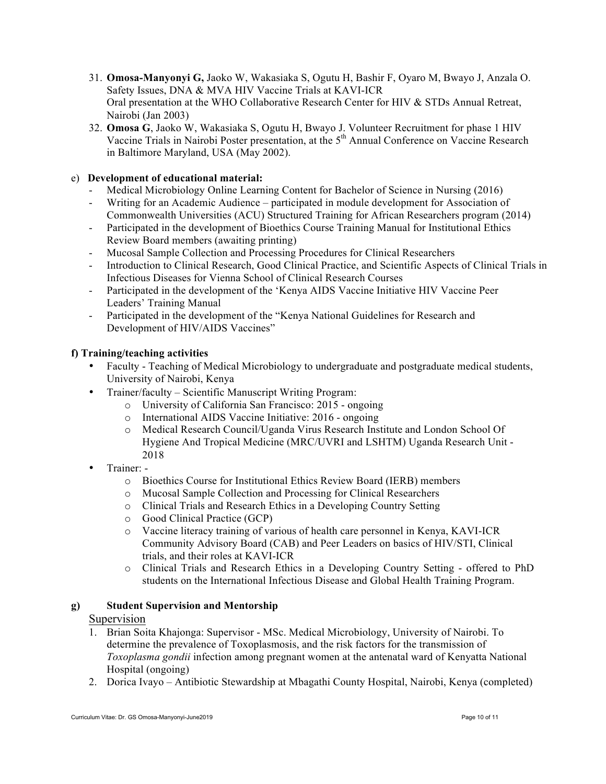- 31. **Omosa-Manyonyi G,** Jaoko W, Wakasiaka S, Ogutu H, Bashir F, Oyaro M, Bwayo J, Anzala O. Safety Issues, DNA & MVA HIV Vaccine Trials at KAVI-ICR Oral presentation at the WHO Collaborative Research Center for HIV & STDs Annual Retreat, Nairobi (Jan 2003)
- 32. **Omosa G**, Jaoko W, Wakasiaka S, Ogutu H, Bwayo J. Volunteer Recruitment for phase 1 HIV Vaccine Trials in Nairobi Poster presentation, at the 5<sup>th</sup> Annual Conference on Vaccine Research in Baltimore Maryland, USA (May 2002).

# e) **Development of educational material:**

- Medical Microbiology Online Learning Content for Bachelor of Science in Nursing (2016)
- Writing for an Academic Audience participated in module development for Association of Commonwealth Universities (ACU) Structured Training for African Researchers program (2014)
- Participated in the development of Bioethics Course Training Manual for Institutional Ethics Review Board members (awaiting printing)
- Mucosal Sample Collection and Processing Procedures for Clinical Researchers
- Introduction to Clinical Research, Good Clinical Practice, and Scientific Aspects of Clinical Trials in Infectious Diseases for Vienna School of Clinical Research Courses
- Participated in the development of the 'Kenya AIDS Vaccine Initiative HIV Vaccine Peer Leaders' Training Manual
- Participated in the development of the "Kenya National Guidelines for Research and Development of HIV/AIDS Vaccines"

## **f) Training/teaching activities**

- Faculty Teaching of Medical Microbiology to undergraduate and postgraduate medical students, University of Nairobi, Kenya
- Trainer/faculty Scientific Manuscript Writing Program:
	- o University of California San Francisco: 2015 ongoing
	- o International AIDS Vaccine Initiative: 2016 ongoing
	- o Medical Research Council/Uganda Virus Research Institute and London School Of Hygiene And Tropical Medicine (MRC/UVRI and LSHTM) Uganda Research Unit - 2018
- Trainer:
	- o Bioethics Course for Institutional Ethics Review Board (IERB) members
	- o Mucosal Sample Collection and Processing for Clinical Researchers
	- o Clinical Trials and Research Ethics in a Developing Country Setting
	- o Good Clinical Practice (GCP)
	- o Vaccine literacy training of various of health care personnel in Kenya, KAVI-ICR Community Advisory Board (CAB) and Peer Leaders on basics of HIV/STI, Clinical trials, and their roles at KAVI-ICR
	- o Clinical Trials and Research Ethics in a Developing Country Setting offered to PhD students on the International Infectious Disease and Global Health Training Program.

## **g) Student Supervision and Mentorship**

## Supervision

- 1. Brian Soita Khajonga: Supervisor MSc. Medical Microbiology, University of Nairobi. To determine the prevalence of Toxoplasmosis, and the risk factors for the transmission of *Toxoplasma gondii* infection among pregnant women at the antenatal ward of Kenyatta National Hospital (ongoing)
- 2. Dorica Ivayo Antibiotic Stewardship at Mbagathi County Hospital, Nairobi, Kenya (completed)